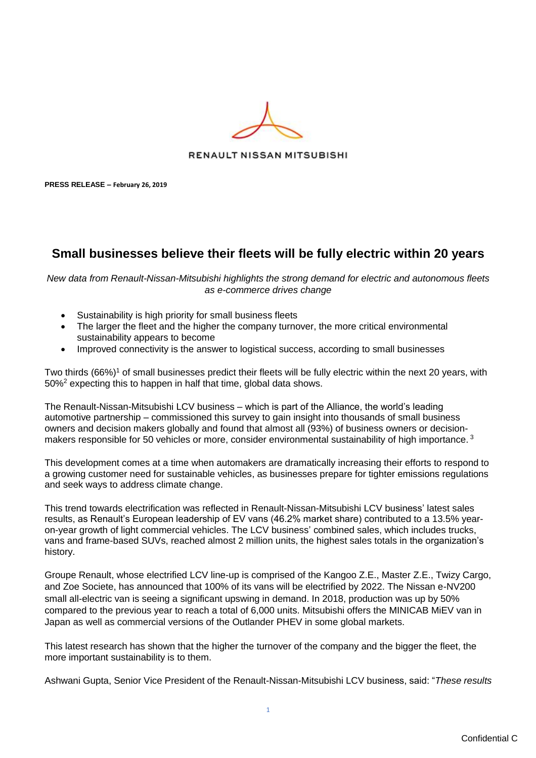

**PRESS RELEASE – February 26, 2019** 

### **Small businesses believe their fleets will be fully electric within 20 years**

*New data from Renault-Nissan-Mitsubishi highlights the strong demand for electric and autonomous fleets as e-commerce drives change*

- Sustainability is high priority for small business fleets
- The larger the fleet and the higher the company turnover, the more critical environmental sustainability appears to become
- Improved connectivity is the answer to logistical success, according to small businesses

Two thirds (66%) <sup>1</sup> of small businesses predict their fleets will be fully electric within the next 20 years, with 50%<sup>2</sup> expecting this to happen in half that time, global data shows.

The Renault-Nissan-Mitsubishi LCV business – which is part of the Alliance, the world's leading automotive partnership – commissioned this survey to gain insight into thousands of small business owners and decision makers globally and found that almost all (93%) of business owners or decisionmakers responsible for 50 vehicles or more, consider environmental sustainability of high importance.<sup>3</sup>

This development comes at a time when automakers are dramatically increasing their efforts to respond to a growing customer need for sustainable vehicles, as businesses prepare for tighter emissions regulations and seek ways to address climate change.

This trend towards electrification was reflected in Renault-Nissan-Mitsubishi LCV business' latest sales results, as Renault's European leadership of EV vans (46.2% market share) contributed to a 13.5% yearon-year growth of light commercial vehicles. The LCV business' combined sales, which includes trucks, vans and frame-based SUVs, reached almost 2 million units, the highest sales totals in the organization's history.

Groupe Renault, whose electrified LCV line-up is comprised of the Kangoo Z.E., Master Z.E., Twizy Cargo, and Zoe Societe, has announced that 100% of its vans will be electrified by 2022. The Nissan e-NV200 small all-electric van is seeing a significant upswing in demand. In 2018, production was up by 50% compared to the previous year to reach a total of 6,000 units. Mitsubishi offers the MINICAB MiEV van in Japan as well as commercial versions of the Outlander PHEV in some global markets.

This latest research has shown that the higher the turnover of the company and the bigger the fleet, the more important sustainability is to them.

Ashwani Gupta, Senior Vice President of the Renault-Nissan-Mitsubishi LCV business, said: "*These results*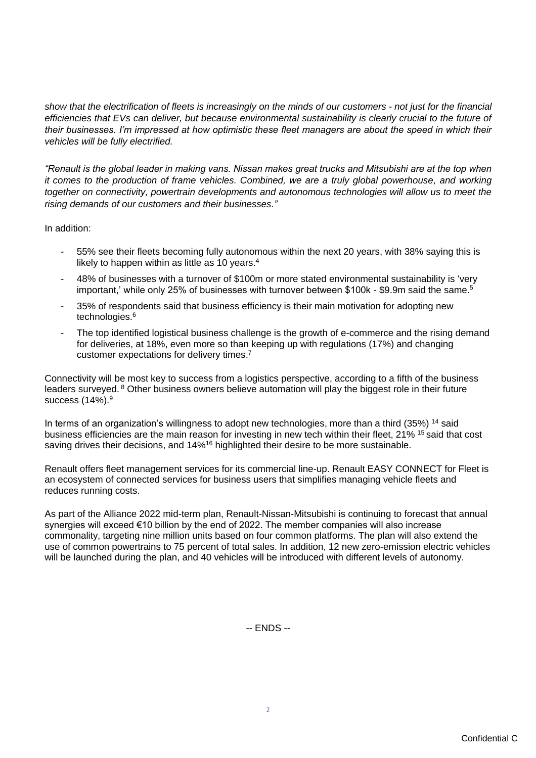*show that the electrification of fleets is increasingly on the minds of our customers - not just for the financial efficiencies that EVs can deliver, but because environmental sustainability is clearly crucial to the future of their businesses. I'm impressed at how optimistic these fleet managers are about the speed in which their vehicles will be fully electrified.*

*"Renault is the global leader in making vans. Nissan makes great trucks and Mitsubishi are at the top when it comes to the production of frame vehicles. Combined, we are a truly global powerhouse, and working together on connectivity, powertrain developments and autonomous technologies will allow us to meet the rising demands of our customers and their businesses."*

In addition:

- 55% see their fleets becoming fully autonomous within the next 20 years, with 38% saying this is likely to happen within as little as 10 years. 4
- 48% of businesses with a turnover of \$100m or more stated environmental sustainability is 'very important,' while only 25% of businesses with turnover between \$100k - \$9.9m said the same.<sup>5</sup>
- 35% of respondents said that business efficiency is their main motivation for adopting new technologies. 6
- The top identified logistical business challenge is the growth of e-commerce and the rising demand for deliveries, at 18%, even more so than keeping up with regulations (17%) and changing customer expectations for delivery times.<sup>7</sup>

Connectivity will be most key to success from a logistics perspective, according to a fifth of the business leaders surveyed. <sup>8</sup> Other business owners believe automation will play the biggest role in their future success (14%). 9

In terms of an organization's willingness to adopt new technologies, more than a third (35%) <sup>14</sup> said business efficiencies are the main reason for investing in new tech within their fleet, 21% <sup>15</sup> said that cost saving drives their decisions, and 14%<sup>16</sup> highlighted their desire to be more sustainable.

Renault offers fleet management services for its commercial line-up. Renault EASY CONNECT for Fleet is an ecosystem of connected services for business users that simplifies managing vehicle fleets and reduces running costs.

As part of the Alliance 2022 mid-term plan, Renault-Nissan-Mitsubishi is continuing to forecast that annual synergies will exceed €10 billion by the end of 2022. The member companies will also increase commonality, targeting nine million units based on four common platforms. The plan will also extend the use of common powertrains to 75 percent of total sales. In addition, 12 new zero-emission electric vehicles will be launched during the plan, and 40 vehicles will be introduced with different levels of autonomy.

-- ENDS --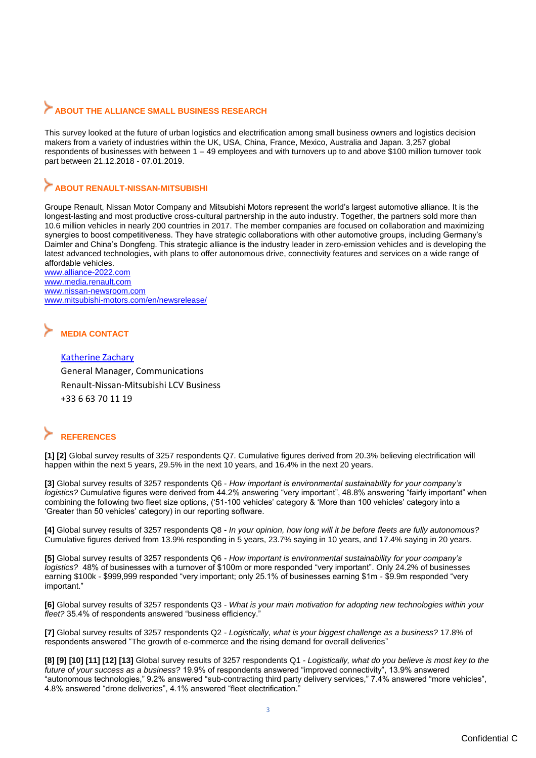# **ABOUT THE ALLIANCE SMALL BUSINESS RESEARCH**

This survey looked at the future of urban logistics and electrification among small business owners and logistics decision makers from a variety of industries within the UK, USA, China, France, Mexico, Australia and Japan. 3,257 global respondents of businesses with between 1 – 49 employees and with turnovers up to and above \$100 million turnover took part between 21.12.2018 - 07.01.2019.

#### **ABOUT RENAULT-NISSAN-MITSUBISHI**

Groupe Renault, Nissan Motor Company and Mitsubishi Motors represent the world's largest automotive alliance. It is the longest-lasting and most productive cross-cultural partnership in the auto industry. Together, the partners sold more than 10.6 million vehicles in nearly 200 countries in 2017. The member companies are focused on collaboration and maximizing synergies to boost competitiveness. They have strategic collaborations with other automotive groups, including Germany's Daimler and China's Dongfeng. This strategic alliance is the industry leader in zero-emission vehicles and is developing the latest advanced technologies, with plans to offer autonomous drive, connectivity features and services on a wide range of affordable vehicles.

www.alliance-2022.com [www.media.renault.com](http://www.media.renault.com/) [www.nissan-newsroom.com](http://www.nissan-newsroom.com/) [www.mitsubishi-motors.com/en/newsrelease/](http://www.mitsubishi-motors.com/en/newsrelease/)

## **MEDIA CONTACT**

[Katherine Zachary](mailto:katherine-zachary@mail.nissan.co.jp) General Manager, Communications Renault-Nissan-Mitsubishi LCV Business +33 6 63 70 11 19

#### **REFERENCES**

**[1] [2]** Global survey results of 3257 respondents Q7. Cumulative figures derived from 20.3% believing electrification will happen within the next 5 years, 29.5% in the next 10 years, and 16.4% in the next 20 years.

**[3]** Global survey results of 3257 respondents Q6 - *How important is environmental sustainability for your company's logistics?* Cumulative figures were derived from 44.2% answering "very important", 48.8% answering "fairly important" when combining the following two fleet size options, ('51-100 vehicles' category & 'More than 100 vehicles' category into a 'Greater than 50 vehicles' category) in our reporting software.

**[4]** Global survey results of 3257 respondents Q8 **-** *In your opinion, how long will it be before fleets are fully autonomous?* Cumulative figures derived from 13.9% responding in 5 years, 23.7% saying in 10 years, and 17.4% saying in 20 years.

**[5]** Global survey results of 3257 respondents Q6 - *How important is environmental sustainability for your company's logistics?* 48% of businesses with a turnover of \$100m or more responded "very important". Only 24.2% of businesses earning \$100k - \$999,999 responded "very important; only 25.1% of businesses earning \$1m - \$9.9m responded "very important."

**[6]** Global survey results of 3257 respondents Q3 - *What is your main motivation for adopting new technologies within your fleet?* 35.4% of respondents answered "business efficiency."

**[7]** Global survey results of 3257 respondents Q2 - *Logistically, what is your biggest challenge as a business?* 17.8% of respondents answered "The growth of e-commerce and the rising demand for overall deliveries"

**[8] [9] [10] [11] [12] [13]** Global survey results of 3257 respondents Q1 - *Logistically, what do you believe is most key to the future of your success as a business?* 19.9% of respondents answered "improved connectivity", 13.9% answered "autonomous technologies," 9.2% answered "sub-contracting third party delivery services," 7.4% answered "more vehicles", 4.8% answered "drone deliveries", 4.1% answered "fleet electrification."